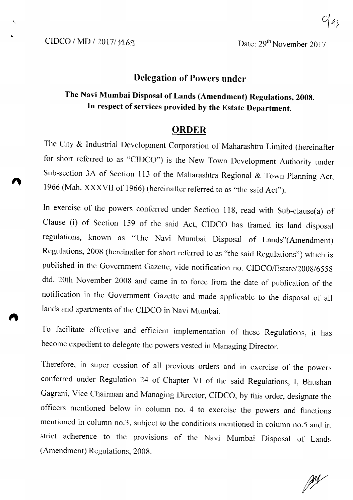$\mathcal{L}_1$ 

 $\cdot$ 

## **Delegation of Powers under**

### **The Navi Mumbai Disposal of Lands (Amendment) Regulations, 2008. In respect of services provided by the Estate Department.**

#### **ORDER**

The City & Industrial Development Corporation of Maharashtra Limited (hereinafter for short referred to as "CIDCO") is the New Town Development Authority under Sub-section 3A of Section 113 of the Maharashtra Regional & Town Planning Act, 1966 (Mah. XXXVII of 1966) (hereinafter referred to as "the said Act").

In exercise of the powers conferred under Section lIS, read with Sub-clause(a) of Clause (i) of Section 159 of the said Act, CIDCO has framed its land disposal regulations, known as "The Navi Mumbai Disposal of Lands"(Amendment) Regulations, 200S (hereinafter for short referred to as "the said Regulations") which is published in the Government Gazette, vide notification no. *CIDCO/Estate/200S/655S* dtd. 20th November 200S and came in to force from the date of publication of the notification in the Government Gazette and made applicable to the disposal of all lands and apartments of the CIDCO in Navi Mumbai.

To facilitate effective and efficient implementation of these Regulations, it has become expedient to delegate the powers vested in Managing Director.

Therefore, in super cession of all previous orders and in exercise of the powers conferred under Regulation 24 of Chapter VI of the said Regulations, 1, Bhushan Gagrani, Vice Chairman and Managing Director, CIDCO, by this order, designate the officers mentioned below in column no. 4 to exercise the powers and functions mentioned in column no.3, subject to the conditions mentioned in column no.5 and in strict adherence to the provisions of the Navi Mumbai Disposal of Lands (Amendment) Regulations, 200S.

MY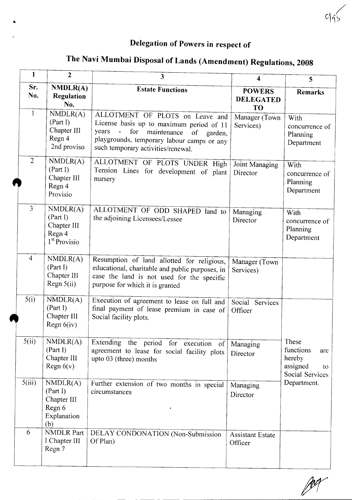## Delegation of Powers **in** respect of

# The Navi Mumbai Disposal of Lands (Amendment) Regulations, 2008

| 1              | $\overline{2}$                                                            | $\overline{\mathbf{3}}$                                                                                                                                                                                                                   | 4                                              | 5                                                                        |
|----------------|---------------------------------------------------------------------------|-------------------------------------------------------------------------------------------------------------------------------------------------------------------------------------------------------------------------------------------|------------------------------------------------|--------------------------------------------------------------------------|
| Sr.<br>No.     | NMDLR(A)<br><b>Regulation</b><br>No.                                      | <b>Estate Functions</b>                                                                                                                                                                                                                   | <b>POWERS</b><br><b>DELEGATED</b><br><b>TO</b> | <b>Remarks</b>                                                           |
| 1              | NMDLR(A)<br>(Part I)<br>Chapter III<br>Regn 4<br>2nd proviso              | ALLOTMENT OF PLOTS on Leave and<br>License basis up to maximum period of 11<br>for<br>years<br>maintenance<br>$\blacksquare$<br>$\circ$ of<br>garden,<br>playgrounds, temporary labour camps or any<br>such temporary activities/renewal. | Manager (Town<br>Services)                     | With<br>concurrence of<br>Planning<br>Department                         |
| $\overline{2}$ | NMDLR(A)<br>(Part I)<br>Chapter III<br>Regn 4<br>Provisio                 | ALLOTMENT OF PLOTS UNDER High<br>Tension Lines for development of plant<br>nursery                                                                                                                                                        | Joint Managing<br>Director                     | With<br>concurrence of<br>Planning<br>Department                         |
| $\overline{3}$ | NMDLR(A)<br>(Part I)<br>Chapter III<br>Regn 4<br>1 <sup>st</sup> Provisio | ALLOTMENT OF ODD SHAPED land to<br>the adjoining Licensees/Lessee                                                                                                                                                                         | Managing<br>Director                           | With<br>concurrence of<br>Planning<br>Department                         |
| $\overline{4}$ | NMDLR(A)<br>(Part I)<br>Chapter III<br>Regn $5(ii)$                       | Resumption of land allotted for religious,<br>educational, charitable and public purposes, in<br>case the land is not used for the specific<br>purpose for which it is granted                                                            | Manager (Town<br>Services)                     |                                                                          |
| 5(i)           | NMDLR(A)<br>(Part I)<br>Chapter III<br>Regn $6(iv)$                       | Execution of agreement to lease on full and<br>final payment of lease premium in case of<br>Social facility plots.                                                                                                                        | Social Services<br>Officer                     |                                                                          |
| 5(ii)          | NMDLR(A)<br>(Part I)<br>Chapter III<br>Regn $6(v)$                        | Extending the period for execution of<br>agreement to lease for social facility plots<br>upto 03 (three) months                                                                                                                           | Managing<br>Director                           | These<br>functions<br>are<br>hereby<br>assigned<br>to<br>Social Services |
| 5(iii)         | NMDLR(A)<br>(Part I)<br>Chapter III<br>Regn 6<br>Explanation<br>(b)       | Further extension of two months in special<br>circumstances                                                                                                                                                                               | Managing<br>Director                           | Department.                                                              |
| 6              | <b>NMDLR Part</b><br>I Chapter III<br>Regn 7                              | DELAY CONDONATION (Non-Submission<br>Of Plan)                                                                                                                                                                                             | <b>Assistant Estate</b><br>Officer             |                                                                          |

- - - - ---------------

por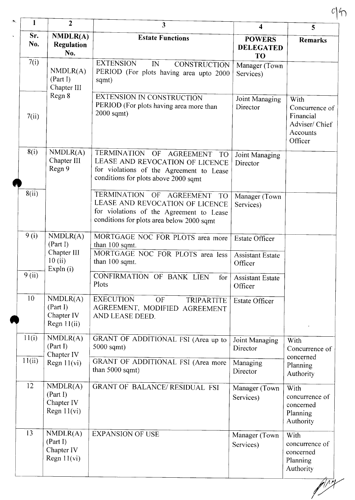| 1          | $\overline{2}$                                      | 3                                                                                                                                                                      | 4                                                           | 5                                                                           |  |
|------------|-----------------------------------------------------|------------------------------------------------------------------------------------------------------------------------------------------------------------------------|-------------------------------------------------------------|-----------------------------------------------------------------------------|--|
| Sr.<br>No. | NMDLR(A)<br>Regulation<br>No.                       | <b>Estate Functions</b>                                                                                                                                                | <b>POWERS</b><br><b>DELEGATED</b><br><b>TO</b>              | <b>Remarks</b>                                                              |  |
| 7(i)       | NMDLR(A)<br>(Part I)<br>Chapter III                 | <b>EXTENSION</b><br>IN<br><b>CONSTRUCTION</b><br>PERIOD (For plots having area upto 2000<br>sqmt)                                                                      | Manager (Town<br>Services)                                  |                                                                             |  |
| 7(ii)      | Regn 8                                              | EXTENSION IN CONSTRUCTION<br>PERIOD (For plots having area more than<br>$2000$ sqmt)                                                                                   | Joint Managing<br>Director                                  | With<br>Concurrence of<br>Financial<br>Adviser/Chief<br>Accounts<br>Officer |  |
| 8(i)       | NMDLR(A)<br>Chapter III<br>Regn 9                   | <b>TERMINATION</b><br>OF AGREEMENT<br><b>TO</b><br>LEASE AND REVOCATION OF LICENCE<br>for violations of the Agreement to Lease<br>conditions for plots above 2000 sqmt | Joint Managing<br>Director                                  |                                                                             |  |
| 8(ii)      |                                                     | TERMINATION OF AGREEMENT<br>TO<br>LEASE AND REVOCATION OF LICENCE<br>for violations of the Agreement to Lease<br>conditions for plots area below 2000 sqmt             | Manager (Town<br>Services)                                  |                                                                             |  |
| 9(i)       | NMDLR(A)<br>(Part I)<br>Chapter III<br>10(i)        | MORTGAGE NOC FOR PLOTS area more<br>than 100 sqmt.<br>MORTGAGE NOC FOR PLOTS area less<br>than 100 sqmt.                                                               | <b>Estate Officer</b><br><b>Assistant Estate</b><br>Officer |                                                                             |  |
| 9(i)       | Expl $n(i)$                                         | CONFIRMATION OF BANK LIEN<br>for<br>Plots                                                                                                                              | <b>Assistant Estate</b><br>Officer                          |                                                                             |  |
| 10         | NMDLR(A)<br>(Part I)<br>Chapter IV<br>Regn $11(ii)$ | <b>EXECUTION</b><br><b>OF</b><br><b>TRIPARTITE</b><br>AGREEMENT, MODIFIED AGREEMENT<br>AND LEASE DEED.                                                                 | <b>Estate Officer</b>                                       |                                                                             |  |
| 11(i)      | NMDLR(A)<br>(Part I)<br>Chapter IV                  | GRANT OF ADDITIONAL FSI (Area up to<br>$5000$ sqmt)                                                                                                                    | Joint Managing<br>Director                                  | With<br>Concurrence of                                                      |  |
| 11(ii)     | Regn $11(vi)$                                       | GRANT OF ADDITIONAL FSI (Area more<br>than $5000$ sqmt)                                                                                                                | Managing<br>Director                                        | concerned<br>Planning<br>Authority                                          |  |
| 12         | NMDLR(A)<br>(Part I)<br>Chapter IV<br>Regn $11(vi)$ | <b>GRANT OF BALANCE/ RESIDUAL FSI</b>                                                                                                                                  | Manager (Town<br>Services)                                  | With<br>concurrence of<br>concerned<br>Planning<br>Authority                |  |
| 13         | NMDLR(A)<br>(Part I)<br>Chapter IV<br>Regn $11(vi)$ | <b>EXPANSION OF USE</b>                                                                                                                                                | Manager (Town<br>Services)                                  | With<br>concurrence of<br>concerned<br>Planning<br>Authority                |  |

 $c$ |47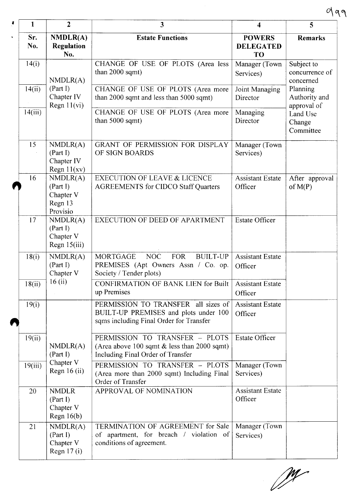| $\mathbf{1}$ | $\overline{2}$                                           | $\overline{\mathbf{3}}$                                                                                                          | 4                                       | 5                                         |
|--------------|----------------------------------------------------------|----------------------------------------------------------------------------------------------------------------------------------|-----------------------------------------|-------------------------------------------|
| Sr.<br>No.   | NMDLR(A)<br><b>Regulation</b><br>No.                     | <b>Estate Functions</b>                                                                                                          | <b>POWERS</b><br><b>DELEGATED</b><br>TO | <b>Remarks</b>                            |
| 14(i)        | NMDLR(A)                                                 | CHANGE OF USE OF PLOTS (Area less<br>than 2000 sqmt)                                                                             | Manager (Town<br>Services)              | Subject to<br>concurrence of<br>concerned |
| 14(ii)       | (Part I)<br>Chapter IV<br>Regn $11(vi)$                  | CHANGE OF USE OF PLOTS (Area more<br>than 2000 sqmt and less than 5000 sqmt)                                                     | Joint Managing<br>Director              | Planning<br>Authority and<br>approval of  |
| 14(iii)      |                                                          | CHANGE OF USE OF PLOTS (Area more<br>than $5000$ sqmt)                                                                           | Managing<br>Director                    | Land Use<br>Change<br>Committee           |
| 15           | NMDLR(A)<br>(Part I)<br>Chapter IV<br>Regn $11(xv)$      | GRANT OF PERMISSION FOR DISPLAY<br>OF SIGN BOARDS                                                                                | Manager (Town<br>Services)              |                                           |
| 16           | NMDLR(A)<br>(Part I)<br>Chapter V<br>Regn 13<br>Provisio | <b>EXECUTION OF LEAVE &amp; LICENCE</b><br><b>AGREEMENTS for CIDCO Staff Quarters</b>                                            | <b>Assistant Estate</b><br>Officer      | After approval<br>of $M(P)$               |
| 17           | NMDLR(A)<br>(Part I)<br>Chapter V<br>Regn 15(iii)        | <b>EXECUTION OF DEED OF APARTMENT</b>                                                                                            | <b>Estate Officer</b>                   |                                           |
| 18(i)        | NMDLR(A)<br>(Part I)<br>Chapter V                        | <b>NOC</b><br><b>MORTGAGE</b><br><b>FOR</b><br><b>BUILT-UP</b><br>PREMISES (Apt Owners Assn / Co. op.<br>Society / Tender plots) | <b>Assistant Estate</b><br>Officer      |                                           |
| 18(ii)       | 16(i)                                                    | <b>CONFIRMATION OF BANK LIEN for Built</b><br>up Premises                                                                        | <b>Assistant Estate</b><br>Officer      |                                           |
| 19(i)        |                                                          | PERMISSION TO TRANSFER all sizes of<br>BUILT-UP PREMISES and plots under 100<br>sqms including Final Order for Transfer          | <b>Assistant Estate</b><br>Officer      |                                           |
| 19(ii)       | NMDLR(A)<br>(Part I)                                     | PERMISSION TO TRANSFER - PLOTS<br>(Area above 100 sqmt $\&$ less than 2000 sqmt)<br>Including Final Order of Transfer            | <b>Estate Officer</b>                   |                                           |
| 19(iii)      | Chapter V<br>Regn $16$ (ii)                              | PERMISSION TO TRANSFER - PLOTS<br>(Area more than 2000 sqmt) Including Final<br>Order of Transfer                                | Manager (Town<br>Services)              |                                           |
| 20           | <b>NMDLR</b><br>(Part I)<br>Chapter V<br>Regn $16(b)$    | APPROVAL OF NOMINATION                                                                                                           | <b>Assistant Estate</b><br>Officer      |                                           |
| 21           | NMDLR(A)<br>(Part I)<br>Chapter V<br>Regn $17(i)$        | <b>TERMINATION OF AGREEMENT for Sale</b><br>of apartment, for breach / violation of<br>conditions of agreement.                  | Manager (Town<br>Services)              |                                           |

 $\overline{\mathscr{W}}$ 

 $q_{q}$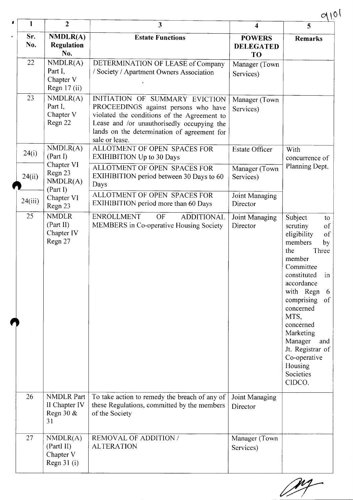*\_0\ \.*

|           |            |                                                     |                                                                                                                                                                                                                                      |                                                | d l'                                                                                                                                                                                                                                                                                                                          |
|-----------|------------|-----------------------------------------------------|--------------------------------------------------------------------------------------------------------------------------------------------------------------------------------------------------------------------------------------|------------------------------------------------|-------------------------------------------------------------------------------------------------------------------------------------------------------------------------------------------------------------------------------------------------------------------------------------------------------------------------------|
| ı         | 1          | $\boldsymbol{2}$                                    | $\overline{\mathbf{3}}$                                                                                                                                                                                                              | $\overline{\bf 4}$                             | 5                                                                                                                                                                                                                                                                                                                             |
| $\bullet$ | Sr.<br>No. | NMDLR(A)<br><b>Regulation</b><br>No.                | <b>Estate Functions</b>                                                                                                                                                                                                              | <b>POWERS</b><br><b>DELEGATED</b><br><b>TO</b> | <b>Remarks</b>                                                                                                                                                                                                                                                                                                                |
|           | 22         | NMDLR(A)<br>Part I,<br>Chapter V<br>Regn $17$ (ii)  | DETERMINATION OF LEASE of Company<br>/ Society / Apartment Owners Association                                                                                                                                                        | Manager (Town<br>Services)                     |                                                                                                                                                                                                                                                                                                                               |
|           | 23         | NMDLR(A)<br>Part I,<br>Chapter V<br>Regn 22         | INITIATION OF SUMMARY EVICTION<br>PROCEEDINGS against persons who have<br>violated the conditions of the Agreement to<br>Lease and /or unauthorisedly occupying the<br>lands on the determination of agreement for<br>sale or lease. | Manager (Town<br>Services)                     |                                                                                                                                                                                                                                                                                                                               |
|           | 24(i)      | NMDLR(A)<br>(Part I)<br>Chapter VI                  | ALLOTMENT OF OPEN SPACES FOR<br><b>EXIHIBITION</b> Up to 30 Days                                                                                                                                                                     | <b>Estate Officer</b>                          | With<br>concurrence of                                                                                                                                                                                                                                                                                                        |
|           | 24(ii)     | Regn 23<br>NMDLR(A)<br>(Part I)                     | ALLOTMENT OF OPEN SPACES FOR<br>EXIHIBITION period between 30 Days to 60<br>Days                                                                                                                                                     | Manager (Town<br>Services)                     | Planning Dept.                                                                                                                                                                                                                                                                                                                |
|           | 24(iii)    | Chapter VI<br>Regn 23                               | ALLOTMENT OF OPEN SPACES FOR<br>EXIHIBITION period more than 60 Days                                                                                                                                                                 | Joint Managing<br>Director                     |                                                                                                                                                                                                                                                                                                                               |
|           | 25         | <b>NMDLR</b><br>(Part II)<br>Chapter IV<br>Regn 27  | <b>ENROLLMENT</b><br>OF<br><b>ADDITIONAL</b><br>MEMBERS in Co-operative Housing Society                                                                                                                                              | Joint Managing<br>Director                     | Subject<br>to<br>scrutiny<br>of<br>of<br>eligibility<br>members<br>by<br>Three<br>the<br>member<br>Committee<br>constituted<br>in<br>accordance<br>with Regn<br>-6<br>comprising<br>of<br>concerned<br>MTS,<br>concerned<br>Marketing<br>Manager<br>and<br>Jt. Registrar of<br>Co-operative<br>Housing<br>Societies<br>CIDCO. |
|           | 26         | NMDLR Part<br>II Chapter IV<br>Regn 30 $&$<br>31    | To take action to remedy the breach of any of<br>these Regulations, committed by the members<br>of the Society                                                                                                                       | Joint Managing<br>Director                     |                                                                                                                                                                                                                                                                                                                               |
|           | 27         | NMDLR(A)<br>(PartI II)<br>Chapter V<br>Regn $31(i)$ | <b>REMOVAL OF ADDITION /</b><br><b>ALTERATION</b>                                                                                                                                                                                    | Manager (Town<br>Services)                     |                                                                                                                                                                                                                                                                                                                               |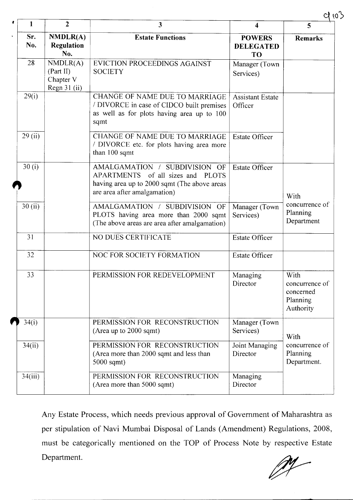| ٠<br>1     | $\overline{2}$                                     | $\overline{3}$                                                                                                                                     | 4                                              | 5                                                            |
|------------|----------------------------------------------------|----------------------------------------------------------------------------------------------------------------------------------------------------|------------------------------------------------|--------------------------------------------------------------|
| Sr.<br>No. | NMDLR(A)<br><b>Regulation</b><br>No.               | <b>Estate Functions</b>                                                                                                                            | <b>POWERS</b><br><b>DELEGATED</b><br><b>TO</b> | <b>Remarks</b>                                               |
| 28         | NMDLR(A)<br>(Part II)<br>Chapter V<br>Regn 31 (ii) | EVICTION PROCEEDINGS AGAINST<br><b>SOCIETY</b>                                                                                                     | Manager (Town<br>Services)                     |                                                              |
| 29(i)      |                                                    | CHANGE OF NAME DUE TO MARRIAGE<br>/ DIVORCE in case of CIDCO built premises<br>as well as for plots having area up to 100<br>sqmt                  | <b>Assistant Estate</b><br>Officer             |                                                              |
| 29(i)      |                                                    | CHANGE OF NAME DUE TO MARRIAGE<br>/ DIVORCE etc. for plots having area more<br>than 100 sqmt                                                       | <b>Estate Officer</b>                          |                                                              |
| 30(i)      |                                                    | AMALGAMATION / SUBDIVISION OF<br>APARTMENTS of all sizes and PLOTS<br>having area up to 2000 sqmt (The above areas<br>are area after amalgamation) | <b>Estate Officer</b>                          | With                                                         |
| 30(i)      |                                                    | AMALGAMATION / SUBDIVISION OF<br>PLOTS having area more than 2000 sqmt<br>(The above areas are area after amalgamation)                            | Manager (Town<br>Services)                     | concurrence of<br>Planning<br>Department                     |
| 31         |                                                    | NO DUES CERTIFICATE                                                                                                                                | <b>Estate Officer</b>                          |                                                              |
| 32         |                                                    | NOC FOR SOCIETY FORMATION                                                                                                                          | <b>Estate Officer</b>                          |                                                              |
| 33         |                                                    | PERMISSION FOR REDEVELOPMENT                                                                                                                       | Managing<br>Director                           | With<br>concurrence of<br>concerned<br>Planning<br>Authority |
| 34(i)      |                                                    | PERMISSION FOR RECONSTRUCTION<br>(Area up to 2000 sqmt)                                                                                            | Manager (Town<br>Services)                     | With                                                         |
| 34(ii)     |                                                    | PERMISSION FOR RECONSTRUCTION<br>(Area more than 2000 sqmt and less than<br>$5000$ sqmt)                                                           | Joint Managing<br>Director                     | concurrence of<br>Planning<br>Department.                    |
| 34(iii)    |                                                    | PERMISSION FOR RECONSTRUCTION<br>(Area more than 5000 sqmt)                                                                                        | Managing<br>Director                           |                                                              |

Any Estate Process, which needs previous approval of Government of Maharashtra as per stipulation of Navi Mumbai Disposal of Lands (Amendment) Regulations, 2008, must be categorically mentioned on the TOP of Process Note by respective Estate Department.

M

 $d$  (0)